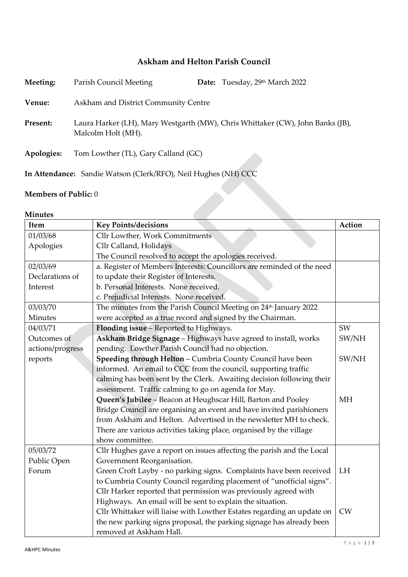## **Askham and Helton Parish Council**

| Meeting:   | Parish Council Meeting                                         | Date: Tuesday, 29th March 2022                                                 |
|------------|----------------------------------------------------------------|--------------------------------------------------------------------------------|
| Venue:     | Askham and District Community Centre                           |                                                                                |
| Present:   | Malcolm Holt (MH).                                             | Laura Harker (LH), Mary Westgarth (MW), Chris Whittaker (CW), John Banks (JB), |
| Apologies: | Tom Lowther (TL), Gary Calland (GC)                            |                                                                                |
|            | In Attendance: Sandie Watson (Clerk/RFO), Neil Hughes (NH) CCC |                                                                                |

## **Members of Public:** 0

## **Minutes**

| Item             | <b>Key Points/decisions</b>                                                  | Action    |  |
|------------------|------------------------------------------------------------------------------|-----------|--|
| 01/03/68         | Cllr Lowther, Work Commitments                                               |           |  |
| Apologies        | Cllr Calland, Holidays                                                       |           |  |
|                  | The Council resolved to accept the apologies received.                       |           |  |
| 02/03/69         | a. Register of Members Interests: Councillors are reminded of the need       |           |  |
| Declarations of  | to update their Register of Interests.                                       |           |  |
| Interest         | b. Personal Interests. None received.                                        |           |  |
|                  | c. Prejudicial Interests. None received.                                     |           |  |
| 03/03/70         | The minutes from the Parish Council Meeting on 24 <sup>th</sup> January 2022 |           |  |
| Minutes          | were accepted as a true record and signed by the Chairman.                   |           |  |
| 04/03/71         | Flooding issue - Reported to Highways.                                       | SW        |  |
| Outcomes of      | Askham Bridge Signage - Highways have agreed to install, works               | SW/NH     |  |
| actions/progress | pending. Lowther Parish Council had no objection.                            |           |  |
| reports          | Speeding through Helton - Cumbria County Council have been                   | SW/NH     |  |
|                  | informed. An email to CCC from the council, supporting traffic               |           |  |
|                  | calming has been sent by the Clerk. Awaiting decision following their        |           |  |
|                  | assessment. Traffic calming to go on agenda for May.                         |           |  |
|                  | Queen's Jubilee - Beacon at Heughscar Hill, Barton and Pooley                | <b>MH</b> |  |
|                  | Bridge Council are organising an event and have invited parishioners         |           |  |
|                  | from Askham and Helton. Advertised in the newsletter MH to check.            |           |  |
|                  | There are various activities taking place, organised by the village          |           |  |
|                  | show committee.                                                              |           |  |
| 05/03/72         | Cllr Hughes gave a report on issues affecting the parish and the Local       |           |  |
| Public Open      | Government Reorganisation.                                                   |           |  |
| Forum            | Green Croft Layby - no parking signs. Complaints have been received          | LH        |  |
|                  | to Cumbria County Council regarding placement of "unofficial signs".         |           |  |
|                  | Cllr Harker reported that permission was previously agreed with              |           |  |
|                  | Highways. An email will be sent to explain the situation.                    |           |  |
|                  | Cllr Whittaker will liaise with Lowther Estates regarding an update on       | <b>CW</b> |  |
|                  | the new parking signs proposal, the parking signage has already been         |           |  |
|                  | removed at Askham Hall.                                                      |           |  |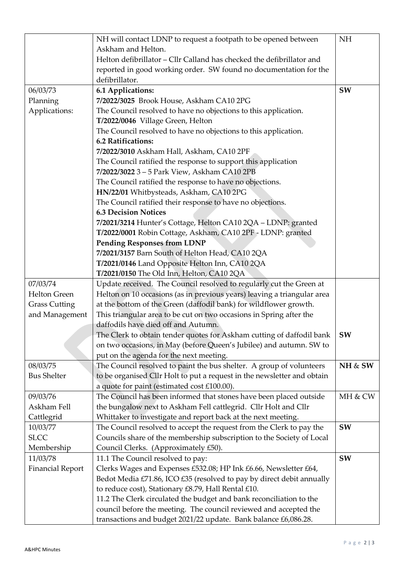|                         | NH will contact LDNP to request a footpath to be opened between         | <b>NH</b> |
|-------------------------|-------------------------------------------------------------------------|-----------|
|                         | Askham and Helton.                                                      |           |
|                         | Helton defibrillator - Cllr Calland has checked the defibrillator and   |           |
|                         | reported in good working order. SW found no documentation for the       |           |
|                         | defibrillator.                                                          |           |
| 06/03/73                | 6.1 Applications:                                                       | <b>SW</b> |
| Planning                | 7/2022/3025 Brook House, Askham CA10 2PG                                |           |
| Applications:           | The Council resolved to have no objections to this application.         |           |
|                         | T/2022/0046 Village Green, Helton                                       |           |
|                         | The Council resolved to have no objections to this application.         |           |
|                         | 6.2 Ratifications:                                                      |           |
|                         | 7/2022/3010 Askham Hall, Askham, CA10 2PF                               |           |
|                         | The Council ratified the response to support this application           |           |
|                         | 7/2022/3022 3-5 Park View, Askham CA10 2PB                              |           |
|                         | The Council ratified the response to have no objections.                |           |
|                         | HN/22/01 Whitbysteads, Askham, CA10 2PG                                 |           |
|                         | The Council ratified their response to have no objections.              |           |
|                         | <b>6.3 Decision Notices</b>                                             |           |
|                         | 7/2021/3214 Hunter's Cottage, Helton CA10 2QA - LDNP: granted           |           |
|                         | T/2022/0001 Robin Cottage, Askham, CA10 2PF - LDNP: granted             |           |
|                         | <b>Pending Responses from LDNP</b>                                      |           |
|                         | 7/2021/3157 Barn South of Helton Head, CA10 2QA                         |           |
|                         | T/2021/0146 Land Opposite Helton Inn, CA10 2QA                          |           |
|                         | T/2021/0150 The Old Inn, Helton, CA10 2QA                               |           |
| 07/03/74                | Update received. The Council resolved to regularly cut the Green at     |           |
| <b>Helton Green</b>     | Helton on 10 occasions (as in previous years) leaving a triangular area |           |
| <b>Grass Cutting</b>    | at the bottom of the Green (daffodil bank) for wildflower growth.       |           |
| and Management          | This triangular area to be cut on two occasions in Spring after the     |           |
|                         | daffodils have died off and Autumn.                                     |           |
|                         | The Clerk to obtain tender quotes for Askham cutting of daffodil bank   | SW        |
|                         | on two occasions, in May (before Queen's Jubilee) and autumn. SW to     |           |
|                         | put on the agenda for the next meeting.                                 |           |
| 08/03/75                | The Council resolved to paint the bus shelter. A group of volunteers    | NH & SW   |
| <b>Bus Shelter</b>      | to be organised Cllr Holt to put a request in the newsletter and obtain |           |
|                         | a quote for paint (estimated cost £100.00).                             |           |
| 09/03/76                | The Council has been informed that stones have been placed outside      | MH & CW   |
| Askham Fell             | the bungalow next to Askham Fell cattlegrid. Cllr Holt and Cllr         |           |
| Cattlegrid              | Whittaker to investigate and report back at the next meeting.           |           |
| 10/03/77                | The Council resolved to accept the request from the Clerk to pay the    | SW        |
| <b>SLCC</b>             | Councils share of the membership subscription to the Society of Local   |           |
| Membership              | Council Clerks. (Approximately £50).                                    |           |
| 11/03/78                | 11.1 The Council resolved to pay:                                       | SW        |
| <b>Financial Report</b> | Clerks Wages and Expenses £532.08; HP Ink £6.66, Newsletter £64,        |           |
|                         | Bedot Media £71.86, ICO £35 (resolved to pay by direct debit annually   |           |
|                         | to reduce cost), Stationary £8.79, Hall Rental £10.                     |           |
|                         | 11.2 The Clerk circulated the budget and bank reconciliation to the     |           |
|                         | council before the meeting. The council reviewed and accepted the       |           |
|                         | transactions and budget 2021/22 update. Bank balance £6,086.28.         |           |